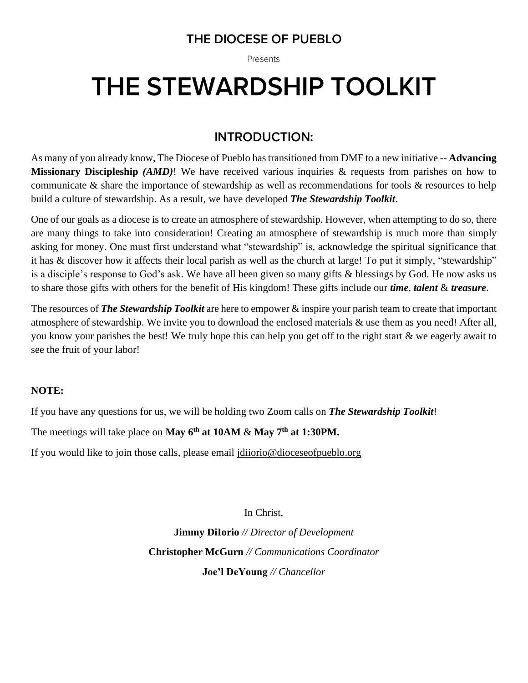# THE DIOCESE OF PUEBLO

Presents

# THE STEWARDSHIP TOOLKIT

# **INTRODUCTION:**

As many of you already know, The Diocese of Pueblo has transitioned from DMF to a new initiative -- **Advancing Missionary Discipleship** *(AMD)*! We have received various inquiries & requests from parishes on how to communicate & share the importance of stewardship as well as recommendations for tools & resources to help build a culture of stewardship. As a result, we have developed *The Stewardship Toolkit*.

One of our goals as a diocese is to create an atmosphere of stewardship. However, when attempting to do so, there are many things to take into consideration! Creating an atmosphere of stewardship is much more than simply asking for money. One must first understand what "stewardship" is, acknowledge the spiritual significance that it has & discover how it affects their local parish as well as the church at large! To put it simply, "stewardship" is a disciple's response to God's ask. We have all been given so many gifts & blessings by God. He now asks us to share those gifts with others for the benefit of His kingdom! These gifts include our *time*, *talent* & *treasure*.

The resources of *The Stewardship Toolkit* are here to empower & inspire your parish team to create that important atmosphere of stewardship. We invite you to download the enclosed materials & use them as you need! After all, you know your parishes the best! We truly hope this can help you get off to the right start & we eagerly await to see the fruit of your labor!

## **NOTE:**

If you have any questions for us, we will be holding two Zoom calls on *The Stewardship Toolkit*!

The meetings will take place on **May 6th at 10AM** & **May 7th at 1:30PM.**

If you would like to join those calls, please email [jdiiorio@dioceseofpueblo.org](mailto:jdiiorio@dioceseofpueblo.org)

In Christ, **Jimmy DiIorio** *// Director of Development* **Christopher McGurn** *// Communications Coordinator* **Joe'l DeYoung** *// Chancellor*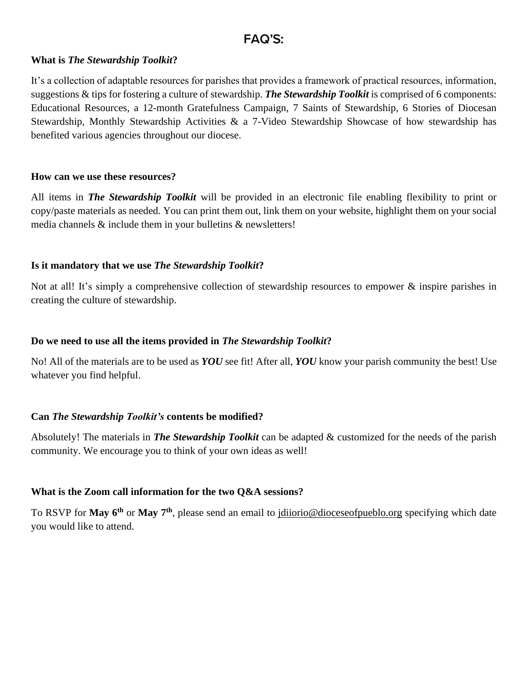# **FAQ'S:**

#### **What is** *The Stewardship Toolkit***?**

It's a collection of adaptable resources for parishes that provides a framework of practical resources, information, suggestions & tips for fostering a culture of stewardship. *The Stewardship Toolkit* is comprised of 6 components: Educational Resources, a 12-month Gratefulness Campaign, 7 Saints of Stewardship, 6 Stories of Diocesan Stewardship, Monthly Stewardship Activities & a 7-Video Stewardship Showcase of how stewardship has benefited various agencies throughout our diocese.

#### **How can we use these resources?**

All items in *The Stewardship Toolkit* will be provided in an electronic file enabling flexibility to print or copy/paste materials as needed. You can print them out, link them on your website, highlight them on your social media channels & include them in your bulletins & newsletters!

#### **Is it mandatory that we use** *The Stewardship Toolkit***?**

Not at all! It's simply a comprehensive collection of stewardship resources to empower & inspire parishes in creating the culture of stewardship.

#### **Do we need to use all the items provided in** *The Stewardship Toolkit***?**

No! All of the materials are to be used as *YOU* see fit! After all, *YOU* know your parish community the best! Use whatever you find helpful.

#### **Can** *The Stewardship Toolkit's* **contents be modified?**

Absolutely! The materials in *The Stewardship Toolkit* can be adapted & customized for the needs of the parish community. We encourage you to think of your own ideas as well!

#### **What is the Zoom call information for the two Q&A sessions?**

To RSVP for **May 6th** or **May 7th**, please send an email to [jdiiorio@dioceseofpueblo.org](mailto:jdiiorio@dioceseofpueblo.org) specifying which date you would like to attend.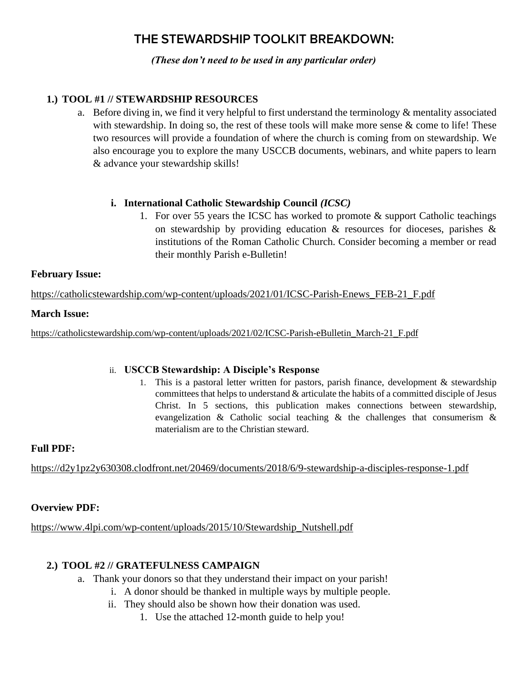# THE STEWARDSHIP TOOLKIT BREAKDOWN:

*(These don't need to be used in any particular order)*

## **1.) TOOL #1 // STEWARDSHIP RESOURCES**

a. Before diving in, we find it very helpful to first understand the terminology & mentality associated with stewardship. In doing so, the rest of these tools will make more sense  $\&$  come to life! These two resources will provide a foundation of where the church is coming from on stewardship. We also encourage you to explore the many USCCB documents, webinars, and white papers to learn & advance your stewardship skills!

#### **i. International Catholic Stewardship Council** *(ICSC)*

1. For over 55 years the ICSC has worked to promote & support Catholic teachings on stewardship by providing education & resources for dioceses, parishes & institutions of the Roman Catholic Church. Consider becoming a member or read their monthly Parish e-Bulletin!

#### **February Issue:**

[https://catholicstewardship.com/wp-content/uploads/2021/01/ICSC-Parish-Enews\\_FEB-21\\_F.pdf](https://catholicstewardship.com/wp-content/uploads/2021/01/ICSC-Parish-Enews_FEB-21_F.pdf)

#### **March Issue:**

[https://catholicstewardship.com/wp-content/uploads/2021/02/ICSC-Parish-eBulletin\\_March-21\\_F.pdf](https://nam02.safelinks.protection.outlook.com/?url=https%3A%2F%2Fcatholicstewardship.com%2Fwp-content%2Fuploads%2F2021%2F02%2FICSC-Parish-eBulletin_March-21_F.pdf&data=04%7C01%7Ccmcgurn%40dioceseofpueblo.org%7C27b9fffc0a5a46022f6e08d8ff987964%7C87643b24e0274cf9a662f3b37194e9a8%7C1%7C0%7C637540377636771959%7CUnknown%7CTWFpbGZsb3d8eyJWIjoiMC4wLjAwMDAiLCJQIjoiV2luMzIiLCJBTiI6Ik1haWwiLCJXVCI6Mn0%3D%7C1000&sdata=uQhik58j0NT5PkSt6PVHHfaXUkfL%2B%2B2%2F4OpPGOCAcA8%3D&reserved=0)

#### ii. **USCCB Stewardship: A Disciple's Response**

1. This is a pastoral letter written for pastors, parish finance, development  $\&$  stewardship committees that helps to understand & articulate the habits of a committed disciple of Jesus Christ. In 5 sections, this publication makes connections between stewardship, evangelization & Catholic social teaching & the challenges that consumerism & materialism are to the Christian steward.

#### **Full PDF:**

<https://d2y1pz2y630308.clodfront.net/20469/documents/2018/6/9-stewardship-a-disciples-response-1.pdf>

#### **Overview PDF:**

[https://www.4lpi.com/wp-content/uploads/2015/10/Stewardship\\_Nutshell.pdf](https://nam02.safelinks.protection.outlook.com/?url=https%3A%2F%2Fwww.4lpi.com%2Fwp-content%2Fuploads%2F2015%2F10%2FStewardship_Nutshell.pdf&data=04%7C01%7Ccmcgurn%40dioceseofpueblo.org%7C27b9fffc0a5a46022f6e08d8ff987964%7C87643b24e0274cf9a662f3b37194e9a8%7C1%7C0%7C637540377636781953%7CUnknown%7CTWFpbGZsb3d8eyJWIjoiMC4wLjAwMDAiLCJQIjoiV2luMzIiLCJBTiI6Ik1haWwiLCJXVCI6Mn0%3D%7C1000&sdata=N%2BeW3cEgiEWVVqs5oiuE%2BBcUEDgBG%2FJHw2j4ym%2FZlFY%3D&reserved=0)

#### **2.) TOOL #2 // GRATEFULNESS CAMPAIGN**

- a. Thank your donors so that they understand their impact on your parish!
	- i. A donor should be thanked in multiple ways by multiple people.
	- ii. They should also be shown how their donation was used.
		- 1. Use the attached 12-month guide to help you!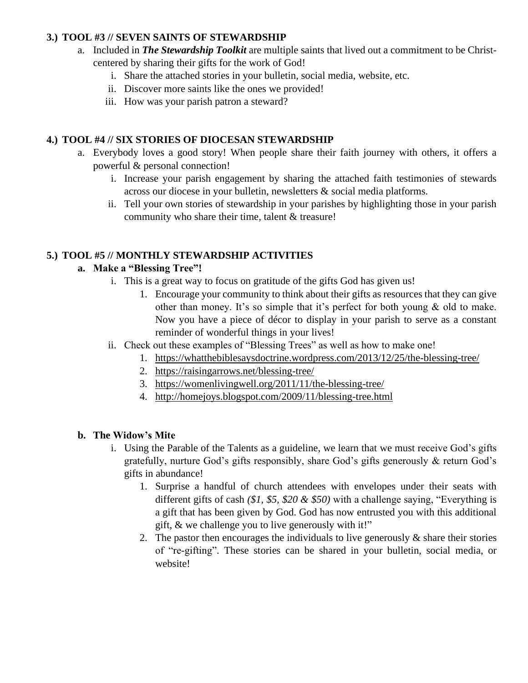## **3.) TOOL #3 // SEVEN SAINTS OF STEWARDSHIP**

- a. Included in *The Stewardship Toolkit* are multiple saints that lived out a commitment to be Christcentered by sharing their gifts for the work of God!
	- i. Share the attached stories in your bulletin, social media, website, etc.
	- ii. Discover more saints like the ones we provided!
	- iii. How was your parish patron a steward?

#### **4.) TOOL #4 // SIX STORIES OF DIOCESAN STEWARDSHIP**

- a. Everybody loves a good story! When people share their faith journey with others, it offers a powerful & personal connection!
	- i. Increase your parish engagement by sharing the attached faith testimonies of stewards across our diocese in your bulletin, newsletters & social media platforms.
	- ii. Tell your own stories of stewardship in your parishes by highlighting those in your parish community who share their time, talent & treasure!

#### **5.) TOOL #5 // MONTHLY STEWARDSHIP ACTIVITIES**

#### **a. Make a "Blessing Tree"!**

- i. This is a great way to focus on gratitude of the gifts God has given us!
	- 1. Encourage your community to think about their gifts as resources that they can give other than money. It's so simple that it's perfect for both young & old to make. Now you have a piece of décor to display in your parish to serve as a constant reminder of wonderful things in your lives!
- ii. Check out these examples of "Blessing Trees" as well as how to make one!
	- 1. <https://whatthebiblesaysdoctrine.wordpress.com/2013/12/25/the-blessing-tree/>
	- 2. <https://raisingarrows.net/blessing-tree/>
	- 3. <https://womenlivingwell.org/2011/11/the-blessing-tree/>
	- 4. [http://homejoys.blogspot.com/2009/11/blessing-tree.html](https://nam02.safelinks.protection.outlook.com/?url=http%3A%2F%2Fhomejoys.blogspot.com%2F2009%2F11%2Fblessing-tree.html&data=04%7C01%7Ccmcgurn%40dioceseofpueblo.org%7C27b9fffc0a5a46022f6e08d8ff987964%7C87643b24e0274cf9a662f3b37194e9a8%7C1%7C0%7C637540377636791948%7CUnknown%7CTWFpbGZsb3d8eyJWIjoiMC4wLjAwMDAiLCJQIjoiV2luMzIiLCJBTiI6Ik1haWwiLCJXVCI6Mn0%3D%7C1000&sdata=2poz3u%2FUXPgmqPYJSMmT7Mj2DijpbkvtV4bSdnBMlVc%3D&reserved=0)

#### **b. The Widow's Mite**

- i. Using the Parable of the Talents as a guideline, we learn that we must receive God's gifts gratefully, nurture God's gifts responsibly, share God's gifts generously & return God's gifts in abundance!
	- 1. Surprise a handful of church attendees with envelopes under their seats with different gifts of cash *(\$1, \$5, \$20 & \$50)* with a challenge saying, "Everything is a gift that has been given by God. God has now entrusted you with this additional gift, & we challenge you to live generously with it!"
	- 2. The pastor then encourages the individuals to live generously  $\&$  share their stories of "re-gifting". These stories can be shared in your bulletin, social media, or website!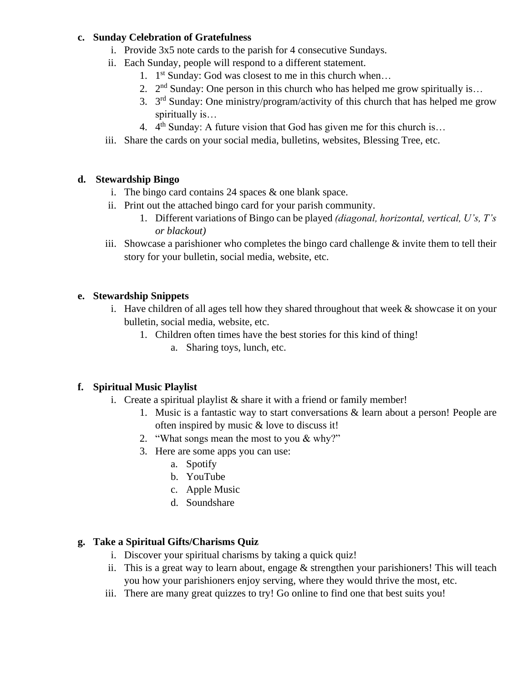#### **c. Sunday Celebration of Gratefulness**

- i. Provide 3x5 note cards to the parish for 4 consecutive Sundays.
- ii. Each Sunday, people will respond to a different statement.
	- 1. 1<sup>st</sup> Sunday: God was closest to me in this church when...
	- 2.  $2^{nd}$  Sunday: One person in this church who has helped me grow spiritually is...
	- 3. 3<sup>rd</sup> Sunday: One ministry/program/activity of this church that has helped me grow spiritually is…
	- 4.  $4<sup>th</sup>$  Sunday: A future vision that God has given me for this church is...
- iii. Share the cards on your social media, bulletins, websites, Blessing Tree, etc.

## **d. Stewardship Bingo**

- i. The bingo card contains 24 spaces & one blank space.
- ii. Print out the attached bingo card for your parish community.
	- 1. Different variations of Bingo can be played *(diagonal, horizontal, vertical, U's, T's or blackout)*
- iii. Showcase a parishioner who completes the bingo card challenge  $\&$  invite them to tell their story for your bulletin, social media, website, etc.

# **e. Stewardship Snippets**

- i. Have children of all ages tell how they shared throughout that week  $\&$  showcase it on your bulletin, social media, website, etc.
	- 1. Children often times have the best stories for this kind of thing!
		- a. Sharing toys, lunch, etc.

## **f. Spiritual Music Playlist**

- i. Create a spiritual playlist  $\&$  share it with a friend or family member!
	- 1. Music is a fantastic way to start conversations  $\&$  learn about a person! People are often inspired by music & love to discuss it!
	- 2. "What songs mean the most to you & why?"
	- 3. Here are some apps you can use:
		- a. Spotify
		- b. YouTube
		- c. Apple Music
		- d. Soundshare

# **g. Take a Spiritual Gifts/Charisms Quiz**

- i. Discover your spiritual charisms by taking a quick quiz!
- ii. This is a great way to learn about, engage & strengthen your parishioners! This will teach you how your parishioners enjoy serving, where they would thrive the most, etc.
- iii. There are many great quizzes to try! Go online to find one that best suits you!